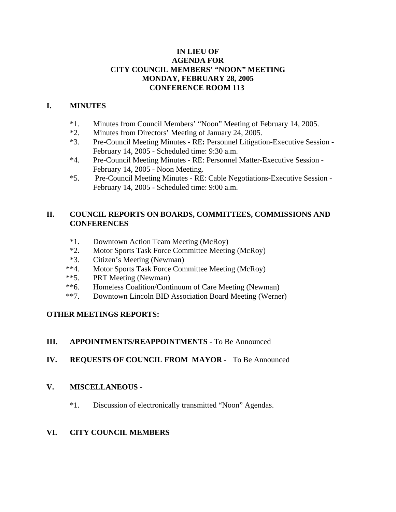# **IN LIEU OF AGENDA FOR CITY COUNCIL MEMBERS' "NOON" MEETING MONDAY, FEBRUARY 28, 2005 CONFERENCE ROOM 113**

# **I. MINUTES**

- \*1. Minutes from Council Members' "Noon" Meeting of February 14, 2005.
- \*2. Minutes from Directors' Meeting of January 24, 2005.
- \*3. Pre-Council Meeting Minutes RE**:** Personnel Litigation-Executive Session February 14, 2005 - Scheduled time: 9:30 a.m.
- \*4. Pre-Council Meeting Minutes RE: Personnel Matter-Executive Session February 14, 2005 - Noon Meeting.
- \*5. Pre-Council Meeting Minutes RE: Cable Negotiations-Executive Session February 14, 2005 - Scheduled time: 9:00 a.m.

# **II. COUNCIL REPORTS ON BOARDS, COMMITTEES, COMMISSIONS AND CONFERENCES**

- \*1. Downtown Action Team Meeting (McRoy)
- \*2. Motor Sports Task Force Committee Meeting (McRoy)
- \*3. Citizen's Meeting (Newman)
- \*\*4. Motor Sports Task Force Committee Meeting (McRoy)
- \*\*5. PRT Meeting (Newman)
- \*\*6. Homeless Coalition/Continuum of Care Meeting (Newman)
- \*\*7. Downtown Lincoln BID Association Board Meeting (Werner)

# **OTHER MEETINGS REPORTS:**

# **III. APPOINTMENTS/REAPPOINTMENTS** - To Be Announced

**IV. REQUESTS OF COUNCIL FROM MAYOR -** To Be Announced

# **V. MISCELLANEOUS -**

\*1. Discussion of electronically transmitted "Noon" Agendas.

# **VI. CITY COUNCIL MEMBERS**